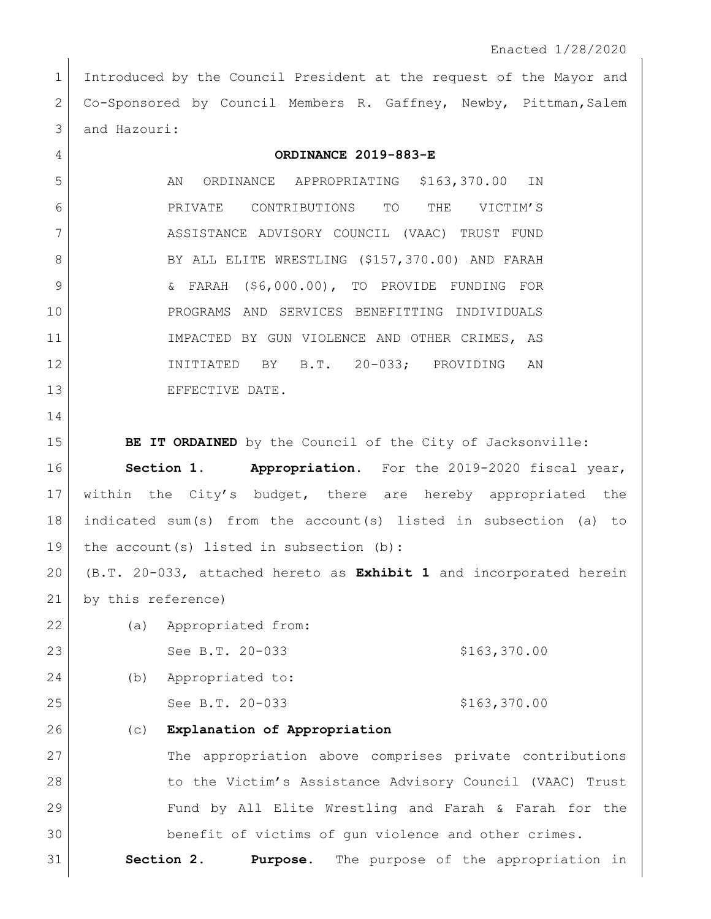1 Introduced by the Council President at the request of the Mayor and 2 Co-Sponsored by Council Members R. Gaffney, Newby, Pittman, Salem 3 and Hazouri:

| 4  | ORDINANCE 2019-883-E                                               |
|----|--------------------------------------------------------------------|
| 5  | ORDINANCE APPROPRIATING \$163,370.00 IN<br>AN                      |
| 6  | PRIVATE CONTRIBUTIONS TO<br>THE<br>VICTIM'S                        |
| 7  | ASSISTANCE ADVISORY COUNCIL (VAAC) TRUST FUND                      |
| 8  | BY ALL ELITE WRESTLING (\$157,370.00) AND FARAH                    |
| 9  | & FARAH (\$6,000.00), TO PROVIDE FUNDING FOR                       |
| 10 | PROGRAMS AND SERVICES BENEFITTING INDIVIDUALS                      |
| 11 | IMPACTED BY GUN VIOLENCE AND OTHER CRIMES, AS                      |
| 12 | INITIATED BY B.T. 20-033; PROVIDING AN                             |
| 13 | EFFECTIVE DATE.                                                    |
| 14 |                                                                    |
| 15 | BE IT ORDAINED by the Council of the City of Jacksonville:         |
| 16 | Section 1. Appropriation. For the 2019-2020 fiscal year,           |
| 17 | within the City's budget, there are hereby appropriated the        |
| 18 | indicated sum(s) from the account(s) listed in subsection (a) to   |
| 19 | the $account(s)$ listed in subsection (b):                         |
| 20 | (B.T. 20-033, attached hereto as Exhibit 1 and incorporated herein |
| 21 | by this reference)                                                 |
| 22 | (a) Appropriated from:                                             |
| 23 | See B.T. 20-033<br>\$163,370.00                                    |
| 24 | Appropriated to:<br>(b)                                            |
| 25 | See B.T. 20-033<br>\$163,370.00                                    |
| 26 | Explanation of Appropriation<br>(C)                                |
| 27 | The appropriation above comprises private contributions            |
| 28 | to the Victim's Assistance Advisory Council (VAAC) Trust           |
| 29 | Fund by All Elite Wrestling and Farah & Farah for the              |
| 30 | benefit of victims of gun violence and other crimes.               |
| 31 | Section 2.<br>The purpose of the appropriation in<br>Purpose.      |